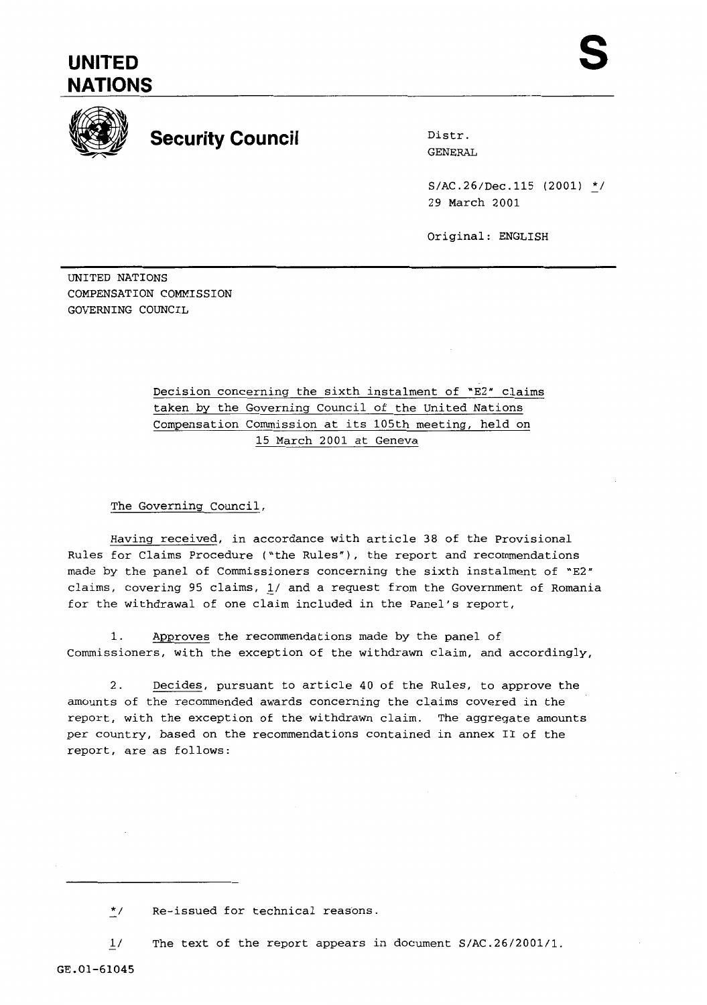## **UNITED NATIONS**



## **Security Council** Distr.

GENERAL

 $S/AC.26/Dec.115$  (2001) \*/ 29 March 2001

Original: ENGLISH

UNITED NATIONS COMPENSATION COMMISSION GOVERNING COUNCIL

> Decision concerning the sixth instalment of "E2" claims taken by the Governing Council of the United Nations Compensation Commission at its 105th meeting, held on 15 March 2001 at Geneva

The Governing Council,

Having received, in accordance with article 38 of the Provisional Rules for Claims Procedure ("the Rules"), the report and recommendations made by the panel of Commissioners concerning the sixth instalment of "E2" claims, covering 95 claims, L/ and a request from the Government of Romania for the withdrawal of one claim included in the Panel's report,

1. Approves the recommendations made by the panel of Commissioners, with the exception of the withdrawn claim, and accordingly,

2. Decides, pursuant to article 40 of the Rules, to approve the amounts of the recommended awards concerning the claims covered in the report, with the exception of the withdrawn claim. The aggregate amounts per country, based on the recommendations contained in annex I1 of the report, are as follows:

 $1/$ The text of the report appears in document S/AC.26/2001/1.

<sup>\*/</sup> Re-issued for technical reasons.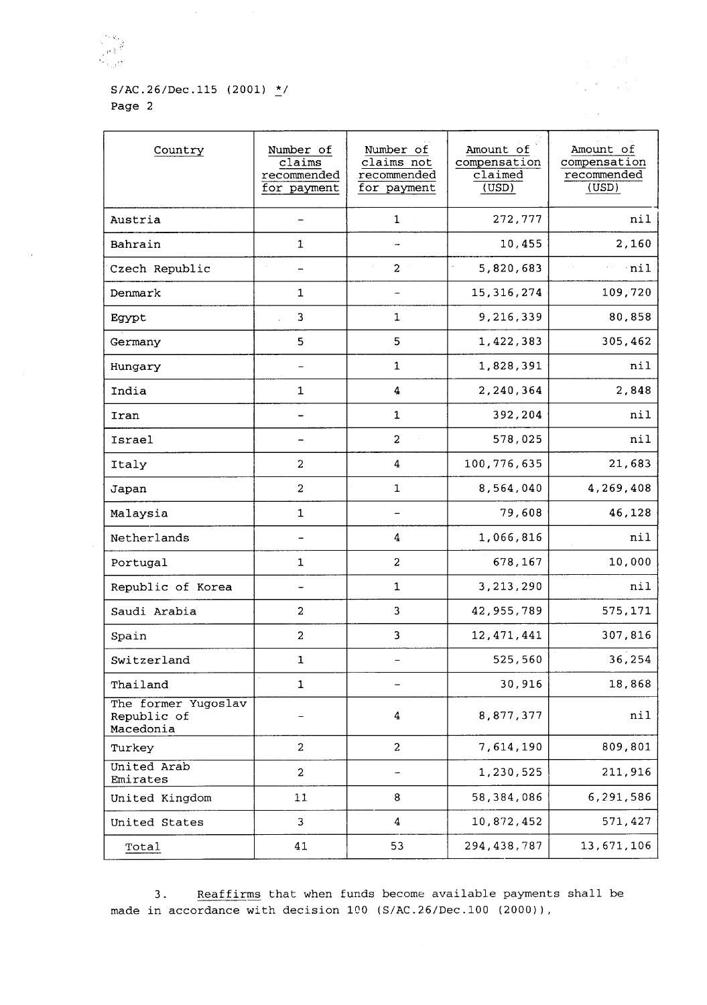$\sim$ 

## $S/AC.26/Dec.115$  (2001)  $\frac{\star}{2}$ / Page 2

| Country                                         | Number of<br>claims<br>recommended<br>for payment | Number of<br>claims not<br>recommended<br>for payment | Amount of<br>compensation<br>claimed<br>(USD) | Amount of<br>compensation<br>recommended<br>(USD) |
|-------------------------------------------------|---------------------------------------------------|-------------------------------------------------------|-----------------------------------------------|---------------------------------------------------|
| Austria                                         |                                                   | $\mathbf{1}$                                          | 272,777                                       | nil                                               |
| Bahrain                                         | $\mathbf 1$                                       |                                                       | 10,455                                        | 2,160                                             |
| Czech Republic                                  |                                                   | $\overline{a}$                                        | 5,820,683                                     | nil                                               |
| Denmark                                         | $\mathbf{1}$                                      |                                                       | 15, 316, 274                                  | 109,720                                           |
| Egypt                                           | 3                                                 | $\mathbf{1}$                                          | 9,216,339                                     | 80,858                                            |
| Germany                                         | 5                                                 | 5                                                     | 1,422,383                                     | 305,462                                           |
| Hungary                                         |                                                   | $\mathbf{1}$                                          | 1,828,391                                     | nil                                               |
| India                                           | $\mathbf 1$                                       | 4                                                     | 2,240,364                                     | 2,848                                             |
| Iran                                            |                                                   | 1                                                     | 392,204                                       | nil                                               |
| Israel                                          |                                                   | $\overline{2}$                                        | 578,025                                       | nil                                               |
| Italy                                           | $\overline{a}$                                    | 4                                                     | 100,776,635                                   | 21,683                                            |
| Japan                                           | $\overline{a}$                                    | $\mathbf{1}$                                          | 8,564,040                                     | 4,269,408                                         |
| Malaysia                                        | $\mathbf 1$                                       |                                                       | 79,608                                        | 46,128                                            |
| Netherlands                                     |                                                   | 4                                                     | 1,066,816                                     | nil                                               |
| Portugal                                        | $\mathbf{1}$                                      | $\overline{2}$                                        | 678,167                                       | 10,000                                            |
| Republic of Korea                               |                                                   | $\mathbf{1}$                                          | 3, 213, 290                                   | nil                                               |
| Saudi Arabia                                    | $\overline{a}$                                    | 3                                                     | 42, 955, 789                                  | 575,171                                           |
| Spain                                           | $\overline{a}$                                    | 3                                                     | 12, 471, 441                                  | 307,816                                           |
| Switzerland                                     | 1                                                 | -                                                     | 525,560                                       | 36,254                                            |
| Thailand                                        | $\mathbf 1$                                       |                                                       | 30,916                                        | 18,868                                            |
| The former Yugoslav<br>Republic of<br>Macedonia |                                                   | 4                                                     | 8,877,377                                     | nil                                               |
| Turkey                                          | $\overline{\mathbf{c}}$                           | $\overline{a}$                                        | 7,614,190                                     | 809,801                                           |
| United Arab<br>Emirates                         | $\overline{2}$                                    |                                                       | 1,230,525                                     | 211,916                                           |
| United Kingdom                                  | 11                                                | 8                                                     | 58,384,086                                    | 6,291,586                                         |
| United States                                   | 3                                                 | 4                                                     | 10,872,452                                    | 571,427                                           |
| Total                                           | 41                                                | 53                                                    | 294, 438, 787                                 | 13,671,106                                        |

医变形 身體

 $\sim$   $\sim$ 

3. Reaffirms that when funds become available payments shall be made in accordance with decision 1CO **(S/AC.26/Dec.100** (2000)),